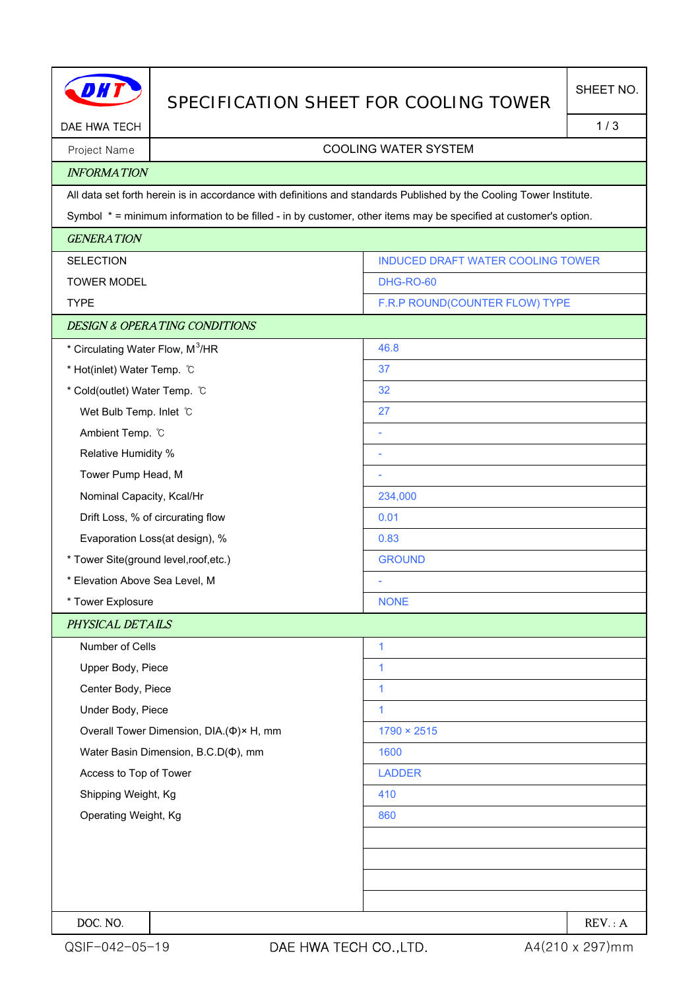|                                              |                                          | SPECIFICATION SHEET FOR COOLING TOWER                                                                               | SHEET NO. |
|----------------------------------------------|------------------------------------------|---------------------------------------------------------------------------------------------------------------------|-----------|
| DAE HWA TECH                                 |                                          |                                                                                                                     | 1/3       |
| Project Name                                 | <b>COOLING WATER SYSTEM</b>              |                                                                                                                     |           |
| <b>INFORMATION</b>                           |                                          |                                                                                                                     |           |
|                                              |                                          | All data set forth herein is in accordance with definitions and standards Published by the Cooling Tower Institute. |           |
|                                              |                                          | Symbol * = minimum information to be filled - in by customer, other items may be specified at customer's option.    |           |
| <b>GENERATION</b>                            |                                          |                                                                                                                     |           |
| <b>SELECTION</b>                             |                                          | INDUCED DRAFT WATER COOLING TOWER                                                                                   |           |
| <b>TOWER MODEL</b>                           |                                          | DHG-RO-60                                                                                                           |           |
| <b>TYPE</b>                                  |                                          | F.R.P ROUND(COUNTER FLOW) TYPE                                                                                      |           |
|                                              | <b>DESIGN &amp; OPERATING CONDITIONS</b> |                                                                                                                     |           |
| * Circulating Water Flow, M <sup>3</sup> /HR |                                          | 46.8                                                                                                                |           |
| * Hot(inlet) Water Temp. C                   |                                          | 37                                                                                                                  |           |
| * Cold(outlet) Water Temp. °C                |                                          | 32                                                                                                                  |           |
| Wet Bulb Temp. Inlet C                       |                                          | 27                                                                                                                  |           |
| Ambient Temp. °C                             |                                          |                                                                                                                     |           |
| Relative Humidity %                          |                                          |                                                                                                                     |           |
| Tower Pump Head, M                           |                                          |                                                                                                                     |           |
| Nominal Capacity, Kcal/Hr                    |                                          | 234,000                                                                                                             |           |
|                                              | Drift Loss, % of circurating flow        | 0.01                                                                                                                |           |
| Evaporation Loss(at design), %               |                                          | 0.83                                                                                                                |           |
| * Tower Site(ground level,roof,etc.)         |                                          | <b>GROUND</b>                                                                                                       |           |
| * Elevation Above Sea Level, M               |                                          |                                                                                                                     |           |
| * Tower Explosure                            |                                          | <b>NONE</b>                                                                                                         |           |
| PHYSICAL DETAILS                             |                                          |                                                                                                                     |           |
| Number of Cells                              |                                          | $\mathbf{1}$                                                                                                        |           |
| Upper Body, Piece                            |                                          | 1                                                                                                                   |           |
| Center Body, Piece                           |                                          | $\mathbf{1}$                                                                                                        |           |
| Under Body, Piece                            |                                          | 1                                                                                                                   |           |
| Overall Tower Dimension, DIA.(Φ)× H, mm      |                                          | $1790 \times 2515$                                                                                                  |           |
| Water Basin Dimension, B.C.D( $\Phi$ ), mm   |                                          | 1600                                                                                                                |           |
| Access to Top of Tower                       |                                          | <b>LADDER</b>                                                                                                       |           |
| Shipping Weight, Kg                          |                                          | 410                                                                                                                 |           |
| Operating Weight, Kg                         |                                          | 860                                                                                                                 |           |
|                                              |                                          |                                                                                                                     |           |
|                                              |                                          |                                                                                                                     |           |
|                                              |                                          |                                                                                                                     |           |
|                                              |                                          |                                                                                                                     |           |
| DOC. NO.                                     |                                          |                                                                                                                     | REV: A    |

H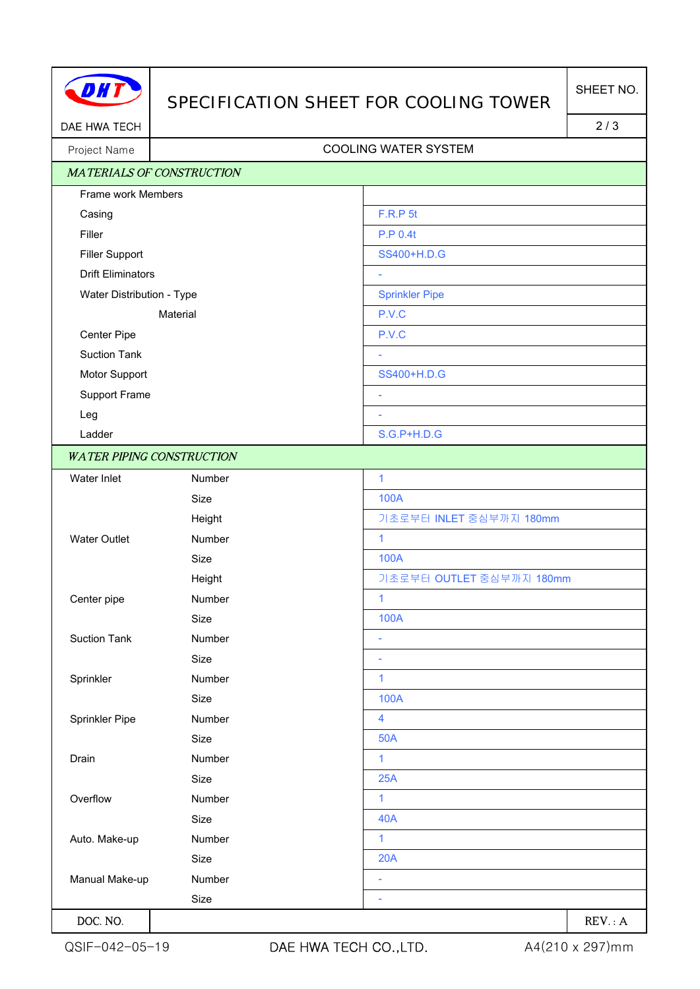| 77 |  |
|----|--|
|    |  |

## SPECIFICATION SHEET FOR COOLING TOWER

DAE HWA TECH 2/3

## Project Name | Name | Name | Name | Name | Name | Name | Name | Name | Name | Name | Name | Name | Name | Name | Name | Name | Name | Name | Name | Name | Name | Name | Name | Name | Name | Name | Name | Name | Name | Name

|                           | <b>MATERIALS OF CONSTRUCTION</b> |                          |
|---------------------------|----------------------------------|--------------------------|
| Frame work Members        |                                  |                          |
| Casing                    |                                  | <b>F.R.P 5t</b>          |
| Filler                    |                                  | <b>P.P 0.4t</b>          |
| <b>Filler Support</b>     |                                  | SS400+H.D.G              |
| <b>Drift Eliminators</b>  |                                  |                          |
| Water Distribution - Type |                                  | <b>Sprinkler Pipe</b>    |
| Material                  |                                  | P.V.C                    |
| Center Pipe               |                                  | P.V.C                    |
| <b>Suction Tank</b>       |                                  |                          |
| Motor Support             |                                  | SS400+H.D.G              |
| Support Frame             |                                  | $\sim$                   |
| Leg                       |                                  | ÷                        |
| Ladder                    |                                  | S.G.P+H.D.G              |
|                           | <b>WATER PIPING CONSTRUCTION</b> |                          |
| Water Inlet               | Number                           | $\mathbf{1}$             |
|                           | Size                             | 100A                     |
|                           | Height                           | 기초로부터 INLET 중심부까지 180mm  |
| <b>Water Outlet</b>       | Number                           | $\mathbf{1}$             |
|                           | Size                             | <b>100A</b>              |
|                           | Height                           | 기초로부터 OUTLET 중심부까지 180mm |
| Center pipe               | Number                           | 1                        |
|                           | Size                             | 100A                     |
| <b>Suction Tank</b>       | Number                           | ÷                        |
|                           | Size                             | ÷,                       |
| Sprinkler                 | Number                           | $\mathbf{1}$             |
|                           | Size                             | 100A                     |
| Sprinkler Pipe            | Number                           | 4                        |
|                           | Size                             | <b>50A</b>               |
| Drain                     | Number                           | 1                        |
|                           | Size                             | 25A                      |
| Overflow                  | Number                           | 1                        |
|                           | Size                             | <b>40A</b>               |
| Auto. Make-up             | Number                           | 1                        |
|                           | Size                             | 20A                      |
| Manual Make-up            | Number                           | ÷,                       |
|                           | Size                             | ÷,                       |
| DOC. NO.                  |                                  | REV: A                   |